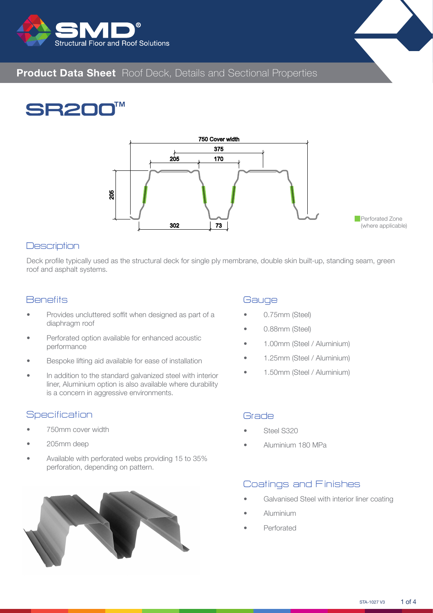



# **SB20**



#### **Description**

Deck profile typically used as the structural deck for single ply membrane, double skin built-up, standing seam, green roof and asphalt systems.

#### **Benefits**

- Provides uncluttered soffit when designed as part of a diaphragm roof
- Perforated option available for enhanced acoustic performance
- Bespoke lifting aid available for ease of installation
- In addition to the standard galvanized steel with interior liner, Aluminium option is also available where durability is a concern in aggressive environments.

#### **Specification**

- 750mm cover width
- 205mm deep
- Available with perforated webs providing 15 to 35% perforation, depending on pattern.



#### **Gauge**

- 0.75mm (Steel)
- 0.88mm (Steel)
- 1.00mm (Steel / Aluminium)
- 1.25mm (Steel / Aluminium)
- 1.50mm (Steel / Aluminium)

#### Grade

- Steel S320
- Aluminium 180 MPa

#### Coatings and Finishes

- Galvanised Steel with interior liner coating
- Aluminium
- **Perforated**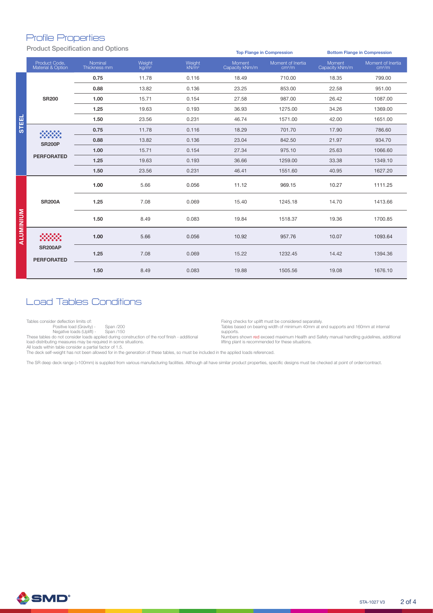#### Profile Properties

Product Specification and Options

|                  |                                     |                         |                    |                             |                          | <b>Top Flange in Compression</b>        | <b>Bottom Flange in Compression</b> |                                         |  |  |  |  |
|------------------|-------------------------------------|-------------------------|--------------------|-----------------------------|--------------------------|-----------------------------------------|-------------------------------------|-----------------------------------------|--|--|--|--|
|                  | Product Code.<br>Material & Option  | Nominal<br>Thickness mm | Weight<br>$kq/m^2$ | Weight<br>kN/m <sup>2</sup> | Moment<br>Capacity kNm/m | Moment of Inertia<br>cm <sup>4</sup> /m | Moment<br>Capacity kNm/m            | Moment of Inertia<br>cm <sup>4</sup> /m |  |  |  |  |
|                  |                                     | 0.75                    | 11.78              | 0.116                       | 18.49                    | 710.00                                  | 18.35                               | 799.00                                  |  |  |  |  |
|                  |                                     | 0.88                    | 13.82              | 0.136                       | 23.25                    | 853.00                                  | 22.58                               | 951.00                                  |  |  |  |  |
|                  | <b>SR200</b>                        | 1.00                    | 15.71              | 0.154                       | 27.58                    | 987.00                                  | 26.42                               | 1087.00                                 |  |  |  |  |
|                  |                                     | 1.25                    | 19.63              | 0.193                       | 36.93                    | 1275.00                                 | 34.26                               | 1369.00                                 |  |  |  |  |
| <b>STEEL</b>     |                                     | 1.50                    | 23.56              | 0.231                       | 46.74                    | 1571.00                                 | 42.00                               | 1651.00                                 |  |  |  |  |
|                  | <b>SR200P</b><br><b>PERFORATED</b>  | 0.75                    | 11.78              | 0.116                       | 18.29                    | 701.70                                  | 17.90                               | 786.60                                  |  |  |  |  |
|                  |                                     | 0.88                    | 13.82              | 0.136                       | 23.04                    | 842.50                                  | 21.97                               | 934.70                                  |  |  |  |  |
|                  |                                     | 1.00                    | 15.71              | 0.154                       | 27.34                    | 975.10                                  | 25.63                               | 1066.60                                 |  |  |  |  |
|                  |                                     | 1.25                    | 19.63              | 0.193                       | 36.66                    | 1259.00                                 | 33.38                               | 1349.10                                 |  |  |  |  |
|                  |                                     | 1.50                    | 23.56              | 0.231                       | 46.41                    | 1551.60                                 | 40.95                               | 1627.20                                 |  |  |  |  |
|                  |                                     | 1.00                    | 5.66               | 0.056                       | 11.12                    | 969.15                                  | 10.27                               | 1111.25                                 |  |  |  |  |
|                  | <b>SR200A</b>                       | 1.25                    | 7.08               | 0.069                       | 15.40                    | 1245.18                                 | 14.70                               | 1413.66                                 |  |  |  |  |
| <b>ALUMINIUM</b> |                                     | 1.50                    | 8.49               | 0.083                       | 19.84                    | 1518.37                                 | 19.36                               | 1700.85                                 |  |  |  |  |
|                  |                                     | 1.00                    | 5.66               | 0.056                       | 10.92                    | 957.76                                  | 10.07                               | 1093.64                                 |  |  |  |  |
|                  | <b>SR200AP</b><br><b>PERFORATED</b> | 1.25                    | 7.08               | 0.069                       | 15.22                    | 1232.45                                 | 14.42                               | 1394.36                                 |  |  |  |  |
|                  |                                     | 1.50                    | 8.49               | 0.083                       | 19.88                    | 1505.56                                 | 19.08                               | 1676.10                                 |  |  |  |  |

### Load Tables Conditions

Tables consider deflection limits of:

Positive load (Gravity) - Span /200

Negative loads (Uplift) - Span /150<br>These tables do not consider loads applied during construction of the roof finish - additional<br>load-distributing measures may be required in some situations.

Fixing checks for uplift must be considered separately. Tables based on bearing width of minimum 40mm at end supports and 160mm at internal supports.

Numbers shown red exceed maximum Health and Safety manual handling guidelines, additional lifting plant is recommended for these situations.

All loads within table consider a partial factor of 1.5.

The deck self-weight has not been allowed for in the generation of these tables, so must be included in the applied loads referenced.

The SR deep deck range (>100mm) is supplied from various manufacturing facilities. Although all have similar product properties, specific designs must be checked at point of order/contract.

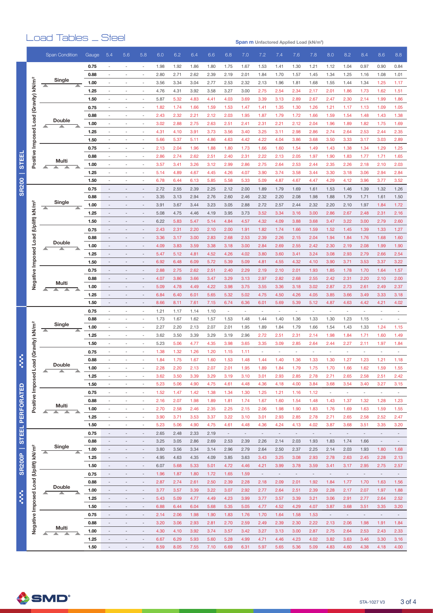## Load Tables \_ Steel

**Span m Unfactored Applied Load (kN/m 2 )**

|                   |                                  |   | <b>Span Condition</b> | Gauge        | 5.4                      | 5.6                                                  | 5.8                      | 6.0          | 6.2          | 6.4          | 6.6          | 6.8                      | 7.0                      | 7.2                      | 7.4                      | 7.6                      | 7.8                      | 8.0                      | 8.2                      | 8.4                      | 8.6                      | 8.8                      |
|-------------------|----------------------------------|---|-----------------------|--------------|--------------------------|------------------------------------------------------|--------------------------|--------------|--------------|--------------|--------------|--------------------------|--------------------------|--------------------------|--------------------------|--------------------------|--------------------------|--------------------------|--------------------------|--------------------------|--------------------------|--------------------------|
|                   |                                  |   |                       |              | $\sim$                   |                                                      |                          |              |              |              |              |                          |                          |                          |                          |                          |                          |                          |                          |                          |                          |                          |
|                   |                                  |   |                       | 0.75<br>0.88 | L.                       | $\overline{\phantom{a}}$<br>$\sim$                   | ٠                        | 1.98<br>2.80 | 1.92<br>2.71 | 1.86<br>2.62 | 1.80<br>2.39 | 1.75<br>2.19             | 1.67<br>2.01             | 1.53<br>1.84             | 1.41<br>1.70             | 1.30<br>1.57             | 1.21                     | 1.12<br>1.34             | 1.04<br>1.25             | 0.97                     | 0.90<br>1.08             | 0.84<br>1.01             |
|                   |                                  |   | Single                |              |                          |                                                      |                          |              |              |              |              |                          |                          |                          |                          |                          | 1.45                     |                          |                          | 1.16                     |                          |                          |
|                   | (Gravity) kN/m <sup>2</sup>      |   |                       | 1.00         |                          | $\overline{\phantom{a}}$<br>$\overline{\phantom{a}}$ | $\sim$                   | 3.56<br>4.76 | 3.34<br>4.31 | 3.04<br>3.92 | 2.77<br>3.58 | 2.53<br>3.27             | 2.32<br>3.00             | 2.13<br>2.75             | 1.96<br>2.54             | 1.81<br>2.34             | 1.68<br>2.17             | 1.55<br>2.01             | 1.44<br>1.86             | 1.34<br>1.73             | 1.25<br>1.62             | 1.17<br>1.51             |
|                   |                                  |   |                       | 1.25<br>1.50 |                          |                                                      |                          |              |              |              |              |                          |                          |                          |                          |                          |                          |                          |                          |                          |                          | 1.86                     |
|                   |                                  |   |                       |              |                          |                                                      |                          | 5.87         | 5.32         | 4.83         | 4.41         | 4.03                     | 3.69                     | 3.39                     | 3.13                     | 2.89                     | 2.67                     | 2.47                     | 2.30                     | 2.14                     | 1.99                     |                          |
|                   |                                  |   |                       | 0.75         |                          | ٠                                                    |                          | 1.82         | 1.74         | 1.66         | 1.59         | 1.53                     | 1.47                     | 1.41                     | 1.35                     | 1.30                     | 1.26                     | 1.21                     | 1.17                     | 1.13                     | 1.09                     | 1.05                     |
|                   |                                  |   | Double                | 0.88         |                          | ÷,                                                   |                          | 2.43         | 2.32         | 2.21         | 2.12         | 2.03                     | 1.95                     | 1.87                     | 1.79                     | 1.72                     | 1.66                     | 1.59                     | 1.54                     | 1.48                     | 1.43                     | 1.38                     |
|                   |                                  | ┻ |                       | 1.00         |                          | $\overline{\phantom{a}}$                             | ٠                        | 3.02         | 2.88         | 2.75         | 2.63         | 2.51                     | 2.41                     | 2.31                     | 2.21                     | 2.12                     | 2.04                     | 1.96                     | 1.89                     | 1.82                     | 1.75                     | 1.69                     |
|                   | Positive Imposed Load            |   |                       | 1.25         |                          |                                                      |                          | 4.31         | 4.10         | 3.91         | 3.73         | 3.56                     | 3.40                     | 3.25                     | 3.11                     | 2.98                     | 2.86                     | 2.74                     | 2.64                     | 2.53                     | 2.44                     | 2.35                     |
|                   |                                  |   |                       | 1.50         | ٠                        |                                                      | $\sim$                   | 5.66         | 5.37         | 5.11         | 4.86         | 4.63                     | 4.42                     | 4.22                     | 4.04                     | 3.86                     | 3.68                     | 3.50                     | 3.33                     | 3.17                     | 3.03                     | 2.89                     |
|                   |                                  |   |                       | 0.75         |                          |                                                      |                          | 2.13         | 2.04         | 1.96         | 1.88         | 1.80                     | 1.73                     | 1.66                     | 1.60                     | 1.54                     | 1.49                     | 1.43                     | 1.38                     | 1.34                     | 1.29                     | 1.25                     |
| 띮                 |                                  |   | Multi                 | 0.88         |                          | $\sim$                                               |                          | 2.86         | 2.74         | 2.62         | 2.51         | 2.40                     | 2.31                     | 2.22                     | 2.13                     | 2.05                     | 1.97                     | 1.90                     | 1.83                     | 1.77                     | 1.71                     | 1.65                     |
| 5                 |                                  |   | ▴                     | 1.00         | ÷,                       |                                                      | ٠                        | 3.57         | 3.41         | 3.26         | 3.12         | 2.99                     | 2.86                     | 2.75                     | 2.64                     | 2.53                     | 2.44                     | 2.35                     | 2.26                     | 2.18                     | 2.10                     | 2.03                     |
|                   |                                  |   |                       | 1.25         | L.                       | $\overline{\phantom{a}}$<br>$\sim$                   | $\sim$                   | 5.14         | 4.89         | 4.67         | 4.45         | 4.26                     | 4.07                     | 3.90<br>5.09             | 3.74                     | 3.58                     | 3.44                     | 3.30                     | 3.18                     | 3.06                     | 2.94                     | 2.84                     |
| <b>SR200</b>      |                                  |   |                       | 1.50         |                          |                                                      |                          | 6.78         | 6.44         | 6.13         | 5.85         | 5.58                     | 5.33                     |                          | 4.87                     | 4.67                     | 4.47                     | 4.29                     | 4.12                     | 3.96                     | 3.77                     | 3.52                     |
|                   |                                  |   |                       | 0.75         |                          |                                                      |                          | 2.72         | 2.55         | 2.39<br>2.94 | 2.25         | 2.12<br>2.60             | 2.00<br>2.46             | 1.89<br>2.32             | 1.79<br>2.20             | 1.69<br>2.08             | 1.61<br>1.98             | 1.53                     | 1.46                     | 1.39                     | 1.32                     | 1.26                     |
|                   |                                  |   | Single                | 0.88         |                          |                                                      |                          | 3.35         | 3.13         |              | 2.76         |                          |                          |                          |                          |                          |                          | 1.88                     | 1.79                     | 1.71                     | 1.61                     | 1.50                     |
|                   |                                  | ᄌ |                       | 1.00         |                          |                                                      |                          | 3.91         | 3.67         | 3.44         | 3.23         | 3.05                     | 2.88                     | 2.72                     | 2.57                     | 2.44                     | 2.32                     | 2.20                     | 2.10                     | 1.97                     | 1.84                     | 1.72                     |
|                   |                                  |   |                       | 1.25         |                          |                                                      |                          | 5.08         | 4.75         | 4.46         | 4.19         | 3.95                     | 3.73                     | 3.52                     | 3.34                     | 3.16                     | 3.00                     | 2.86                     | 2.67                     | 2.48                     | 2.31                     | 2.16                     |
|                   |                                  |   |                       | 1.50         |                          |                                                      |                          | 6.22         | 5.83         | 5.47         | 5.14         | 4.84                     | 4.57                     | 4.32                     | 4.09                     | 3.88                     | 3.68                     | 3.47                     | 3.22                     | 3.00                     | 2.79                     | 2.60                     |
|                   |                                  |   |                       | 0.75         |                          |                                                      |                          | 2.43         | 2.31         | 2.20         | 2.10         | 2.00                     | 1.91                     | 1.82                     | 1.74                     | 1.66                     | 1.59                     | 1.52                     | 1.45                     | 1.39                     | 1.33                     | 1.27                     |
|                   | Load (Uplift) kN/m <sup>2</sup>  | ▲ | Double                | 0.88         |                          |                                                      |                          | 3.36         | 3.17         | 3.00         | 2.83         | 2.68                     | 2.53                     | 2.39                     | 2.26                     | 2.15                     | 2.04                     | 1.94                     | 1.84                     | 1.76                     | 1.68                     | 1.60                     |
|                   |                                  |   |                       | 1.00         | $\overline{a}$           |                                                      |                          | 4.09         | 3.83<br>5.12 | 3.59         | 3.38<br>4.52 | 3.18<br>4.26             | 3.00<br>4.02             | 2.84                     | 2.69                     | 2.55<br>3.41             | 2.42<br>3.24             | 2.30                     | 2.19<br>2.93             | 2.08<br>2.79             | 1.99<br>2.66             | 1.90<br>2.54             |
|                   |                                  |   |                       | 1.25<br>1.50 |                          |                                                      |                          | 5.47<br>6.92 | 6.48         | 4.81         |              | 5.39                     | 5.09                     | 3.80                     | 3.60<br>4.55             | 4.32                     |                          | 3.08<br>3.90             | 3.71                     | 3.53                     | 3.37                     | 3.22                     |
|                   |                                  |   |                       |              |                          |                                                      |                          |              |              | 6.09         | 5.72         |                          |                          | 4.81                     |                          |                          | 4.10                     |                          |                          |                          |                          |                          |
|                   |                                  |   |                       | 0.75         |                          |                                                      |                          | 2.88         | 2.75         | 2.62         | 2.51         | 2.40                     | 2.29                     | 2.19                     | 2.10                     | 2.01                     | 1.93                     | 1.85                     | 1.78                     | 1.70                     | 1.64                     | 1.57                     |
|                   | Negative Imposed                 |   | Multi                 | 0.88<br>1.00 |                          |                                                      |                          | 4.07         | 3.86         | 3.66         | 3.47         | 3.29                     | 3.13                     | 2.97                     | 2.82                     | 2.68                     | 2.55                     | 2.42                     | 2.31                     | 2.20                     | 2.10                     | 2.00                     |
|                   |                                  |   | A                     |              |                          |                                                      |                          | 5.09         | 4.78         | 4.49         | 4.22         | 3.98                     | 3.75                     | 3.55                     | 3.36                     | 3.18                     | 3.02                     | 2.87                     | 2.73                     | 2.61                     | 2.49                     | 2.37                     |
|                   |                                  |   |                       | 1.25<br>1.50 |                          | $\overline{\phantom{a}}$                             |                          | 6.84<br>8.66 | 6.40<br>8.11 | 6.01<br>7.61 | 5.65<br>7.15 | 5.32<br>6.74             | 5.02<br>6.36             | 4.75<br>6.01             | 4.50<br>5.69             | 4.26<br>5.39             | 4.05<br>5.12             | 3.85<br>4.87             | 3.66<br>4.63             | 3.49<br>4.42             | 3.33<br>4.21             | 3.18<br>4.02             |
|                   |                                  |   |                       | 0.75         |                          |                                                      |                          | 1.21         | 1.17         |              | 1.10         | L,                       |                          |                          |                          |                          |                          |                          |                          |                          |                          | ä,                       |
|                   |                                  |   |                       | 0.88         | ÷,                       | ٠                                                    | ٠                        | 1.73         | 1.67         | 1.14<br>1.62 | 1.57         | 1.53                     | 1.48                     | 1.44                     | 1.40                     | 1.36                     | 1.33                     | 1.30                     | 1.23                     | 1.15                     | $\sim$                   |                          |
|                   | Load (Gravity) kN/m <sup>2</sup> |   | Single                | 1.00         |                          |                                                      |                          | 2.27         | 2.20         | 2.13         | 2.07         | 2.01                     | 1.95                     | 1.89                     | 1.84                     | 1.79                     | 1.66                     | 1.54                     | 1.43                     | 1.33                     | 1.24                     | 1.15                     |
|                   |                                  | ▲ | ≖                     | 1.25         |                          |                                                      |                          | 3.62         | 3.50         | 3.39         | 3.29         | 3.19                     | 2.96                     | 2.72                     | 2.51                     | 2.31                     | 2.14                     | 1.98                     | 1.84                     | 1.71                     | 1.60                     | 1.49                     |
|                   |                                  |   |                       | 1.50         | L.                       | $\sim$                                               | $\sim$                   | 5.23         | 5.06         | 4.77         | 4.35         | 3.98                     | 3.65                     | 3.35                     | 3.09                     | 2.85                     | 2.64                     | 2.44                     | 2.27                     | 2.11                     | 1.97                     | 1.84                     |
|                   |                                  |   |                       | 0.75         | ٠                        | $\overline{\phantom{a}}$                             | ٠                        | 1.38         | 1.32         | 1.26         | 1.20         | 1.15                     | 1.11                     | $\overline{\phantom{a}}$ | $\overline{\phantom{a}}$ | $\sim$                   | $\overline{\phantom{a}}$ | $\overline{\phantom{a}}$ | $\sim$                   | $\sim$                   | $\overline{\phantom{a}}$ | $\sim$                   |
|                   |                                  |   |                       | 0.88         |                          |                                                      |                          | 1.84         | 1.75         | 1.67         | 1.60         | 1.53                     | 1.48                     | 1.44                     | 1.40                     | 1.36                     | 1.33                     | 1.30                     | 1.27                     | 1.23                     | 1.21                     | 1.18                     |
|                   |                                  |   | Double                | 1.00         |                          |                                                      |                          | 2.28         | 2.20         | 2.13         | 2.07         | 2.01                     | 1.95                     | 1.89                     | 1.84                     | 1.79                     | 1.75                     | 1.70                     | 1.66                     | 1.62                     | 1.59                     | 1.55                     |
|                   |                                  |   |                       | 1.25         | $\overline{\phantom{a}}$ | $\sim$                                               | ٠                        | 3.62         | 3.50         | 3.39         | 3.29         | 3.19                     | 3.10                     | 3.01                     | 2.93                     | 2.85                     | 2.78                     | 2.71                     | 2.65                     | 2.58                     | 2.51                     | 2.42                     |
|                   |                                  |   |                       | 1.50         | ÷,                       | $\overline{\phantom{a}}$                             | $\overline{\phantom{a}}$ | 5.23         | 5.06         | 4.90         | 4.75         | 4.61                     | 4.48                     | 4.36                     | 4.18                     | 4.00                     | 3.84                     | 3.68                     | 3.54                     | 3.40                     | 3.27                     | 3.15                     |
|                   |                                  |   | Multi                 | 0.75         | $\overline{\phantom{a}}$ | $\overline{\phantom{a}}$                             | $\overline{\phantom{a}}$ | 1.52         | 1.47         | 1.42         | 1.38         | 1.34                     | 1.30                     | 1.25                     | 1.21                     | 1.16                     | 1.12                     | $\overline{\phantom{a}}$ | $\overline{\phantom{a}}$ | $\overline{\phantom{a}}$ | $\overline{\phantom{a}}$ | $\overline{\phantom{a}}$ |
| <b>PERFORATED</b> | Positive Imposed                 |   |                       | 0.88         | $\sim$                   | $\overline{\phantom{a}}$                             | $\sim$                   | 2.16         | 2.07         | 1.98         | 1.89         | 1.81                     | 1.74                     | 1.67                     | 1.60                     | 1.54                     | 1.48                     | 1.43                     | 1.37                     | 1.32                     | 1.28                     | 1.23                     |
|                   |                                  |   |                       | 1.00         | $\sim$                   | $\sim$                                               | $\sim$                   | 2.70         | 2.58         | 2.46         | 2.35         | 2.25                     | 2.15                     | 2.06                     | 1.98                     | 1.90                     | 1.83                     | 1.76                     | 1.69                     | 1.63                     | 1.59                     | 1.55                     |
|                   |                                  |   | ≖<br>ℶ<br>▴           | 1.25         | $\overline{\phantom{a}}$ | $\overline{\phantom{a}}$                             | $\overline{\phantom{a}}$ | 3.90         | 3.71         | 3.53         | 3.37         | 3.22                     | 3.10                     | 3.01                     | 2.93                     | 2.85                     | 2.78                     | 2.71                     | 2.65                     | 2.58                     | 2.52                     | 2.47                     |
|                   |                                  |   |                       | 1.50         | $\sim$                   | $\sim$                                               | $\sim$                   | 5.23         | 5.06         | 4.90         | 4.75         | 4.61                     | 4.48                     | 4.36                     | 4.24                     | 4.13                     | 4.02                     | 3.87                     | 3.68                     | 3.51                     | 3.35                     | 3.20                     |
| <b>STEEL</b>      |                                  |   |                       | 0.75         | $\overline{\phantom{a}}$ | $\overline{\phantom{a}}$                             |                          | 2.65         | 2.48         | 2.33         | 2.19         | $\overline{\phantom{a}}$ | $\overline{\phantom{a}}$ | $\sim$                   | $\overline{\phantom{a}}$ | $\overline{\phantom{a}}$ | $\overline{\phantom{a}}$ | $\overline{\phantom{a}}$ | $\overline{\phantom{a}}$ | $\overline{\phantom{a}}$ | $\overline{\phantom{a}}$ | $\overline{\phantom{a}}$ |
|                   |                                  |   |                       | 0.88         | $\overline{\phantom{a}}$ | $\overline{\phantom{a}}$                             | $\overline{\phantom{a}}$ | 3.25         | 3.05         | 2.86         | 2.69         | 2.53                     | 2.39                     | 2.26                     | 2.14                     | 2.03                     | 1.93                     | 1.83                     | 1.74                     | 1.66                     | $\overline{\phantom{a}}$ | $\overline{\phantom{a}}$ |
|                   |                                  |   | Single                | 1.00         |                          |                                                      |                          | 3.80         | 3.56         | 3.34         | 3.14         | 2.96                     | 2.79                     | 2.64                     | 2.50                     | 2.37                     | 2.25                     | 2.14                     | 2.03                     | 1.93                     | 1.80                     | 1.68                     |
|                   |                                  | ≖ | ▲                     | 1.25         |                          |                                                      |                          | 4.95         | 4.63         | 4.35         | 4.09         | 3.85                     | 3.63                     | 3.43                     | 3.25                     | 3.08                     | 2.93                     | 2.78                     | 2.63                     | 2.45                     | 2.28                     | 2.13                     |
| <b>SR200P</b>     |                                  |   |                       | 1.50         | $\overline{\phantom{a}}$ | $\overline{\phantom{a}}$                             | $\sim$                   | 6.07         | 5.68         | 5.33         | 5.01         | 4.72                     | 4.46                     | 4.21                     | 3.99                     | 3.78                     | 3.59                     | 3.41                     | 3.17                     | 2.95                     | 2.75                     | 2.57                     |
|                   | (Uplift) kN/m <sup>2</sup>       |   |                       | 0.75         | $\overline{\phantom{a}}$ | $\overline{\phantom{a}}$                             | $\overline{\phantom{a}}$ | 1.96         | 1.87         | 1.80         | 1.72         | 1.65                     | 1.59                     | $\sim$                   | $\overline{\phantom{a}}$ | $\overline{\phantom{a}}$ | $\overline{\phantom{a}}$ | $\overline{\phantom{a}}$ | $\overline{\phantom{a}}$ | $\overline{\phantom{a}}$ | $\overline{\phantom{a}}$ | $\overline{\phantom{a}}$ |
|                   |                                  |   |                       | 0.88         | $\overline{\phantom{a}}$ | $\overline{\phantom{a}}$                             | $\overline{\phantom{a}}$ | 2.87         | 2.74         | 2.61         | 2.50         | 2.39                     | 2.28                     | 2.18                     | 2.09                     | 2.01                     | 1.92                     | 1.84                     | 1.77                     | 1.70                     | 1.63                     | 1.56                     |
|                   |                                  |   | Double                | 1.00         | $\overline{\phantom{a}}$ | $\overline{\phantom{a}}$                             |                          | 3.77         | 3.57         | 3.39         | 3.22         | 3.07                     | 2.92                     | 2.77                     | 2.64                     | 2.51                     | 2.39                     | 2.28                     | 2.17                     | 2.07                     | 1.97                     | 1.88                     |
|                   |                                  |   |                       | 1.25         | $\overline{\phantom{a}}$ | $\overline{\phantom{a}}$                             | $\overline{\phantom{a}}$ | 5.43         | 5.09         | 4.77         | 4.49         | 4.23                     | 3.99                     | 3.77                     | 3.57                     | 3.39                     | 3.21                     | 3.06                     | 2.91                     | 2.77                     | 2.64                     | 2.52                     |
|                   |                                  |   |                       | 1.50         | $\overline{\phantom{a}}$ | $\qquad \qquad -$                                    | $\overline{\phantom{a}}$ | 6.88         | 6.44         | 6.04         | 5.68         | 5.35                     | 5.05                     | 4.77                     | 4.52                     | 4.29                     | 4.07                     | 3.87                     | 3.68                     | 3.51                     | 3.35                     | 3.20                     |
|                   |                                  |   |                       | 0.75         | $\overline{\phantom{a}}$ | $\qquad \qquad -$                                    | $\overline{\phantom{a}}$ | 2.14         | 2.06         | 1.98         | 1.90         | 1.83                     | 1.76                     | 1.70                     | 1.64                     | 1.58                     | 1.53                     | $\overline{\phantom{a}}$ | $\overline{\phantom{a}}$ | $\overline{\phantom{a}}$ | $\overline{\phantom{a}}$ | $\overline{\phantom{a}}$ |
|                   |                                  |   |                       | 0.88         |                          |                                                      |                          | 3.20         | 3.06         | 2.93         | 2.81         | 2.70                     | 2.59                     | 2.49                     | 2.39                     | 2.30                     | 2.22                     | 2.13                     | 2.06                     | 1.98                     | 1.91                     | 1.84                     |
|                   | Negative Imposed Load            |   | Multi<br>▲<br>∸<br>×  | 1.00         | $\overline{\phantom{a}}$ | $\overline{\phantom{a}}$                             | $\sim$                   | 4.30         | 4.10         | 3.92         | 3.74         | 3.57                     | 3.42                     | 3.27                     | 3.13                     | 3.00                     | 2.87                     | 2.75                     | 2.64                     | 2.53                     | 2.43                     | 2.33                     |
|                   |                                  |   |                       | 1.25         | $\frac{1}{2}$            |                                                      |                          | 6.67         | 6.29         | 5.93         | 5.60         | 5.28                     | 4.99                     | 4.71                     | 4.46                     | 4.23                     | 4.02                     | 3.82                     | 3.63                     | 3.46                     | 3.30                     | 3.16                     |
|                   |                                  |   |                       | 1.50         | $\overline{\phantom{a}}$ | $\overline{\phantom{a}}$                             |                          | 8.59         | 8.05         | 7.55         | 7.10         | 6.69                     | 6.31                     | 5.97                     | 5.65                     | 5.36                     | 5.09                     | 4.83                     | 4.60                     | 4.38                     | 4.18                     | 4.00                     |